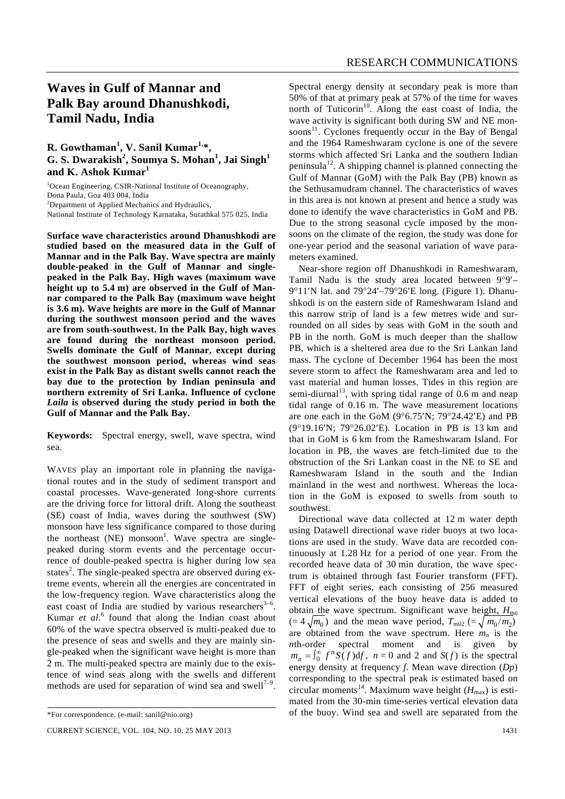## **Waves in Gulf of Mannar and Palk Bay around Dhanushkodi, Tamil Nadu, India**

## **R. Gowthaman<sup>1</sup> , V. Sanil Kumar1,\*, G. S. Dwarakish<sup>2</sup> , Soumya S. Mohan<sup>1</sup> , Jai Singh<sup>1</sup> and K. Ashok Kumar<sup>1</sup>**

<sup>1</sup>Ocean Engineering, CSIR-National Institute of Oceanography, Dona Paula, Goa 403 004, India <sup>2</sup>Department of Applied Mechanics and Hydraulics,

National Institute of Technology Karnataka, Surathkal 575 025, India

**Surface wave characteristics around Dhanushkodi are studied based on the measured data in the Gulf of Mannar and in the Palk Bay. Wave spectra are mainly double-peaked in the Gulf of Mannar and singlepeaked in the Palk Bay. High waves (maximum wave height up to 5.4 m) are observed in the Gulf of Mannar compared to the Palk Bay (maximum wave height is 3.6 m). Wave heights are more in the Gulf of Mannar during the southwest monsoon period and the waves are from south-southwest. In the Palk Bay, high waves are found during the northeast monsoon period. Swells dominate the Gulf of Mannar, except during the southwest monsoon period, whereas wind seas exist in the Palk Bay as distant swells cannot reach the bay due to the protection by Indian peninsula and northern extremity of Sri Lanka. Influence of cyclone**  *Laila* **is observed during the study period in both the Gulf of Mannar and the Palk Bay.** 

**Keywords:** Spectral energy, swell, wave spectra, wind sea.

WAVES play an important role in planning the navigational routes and in the study of sediment transport and coastal processes. Wave-generated long-shore currents are the driving force for littoral drift. Along the southeast (SE) coast of India, waves during the southwest (SW) monsoon have less significance compared to those during the northeast (NE) monsoon<sup>1</sup>. Wave spectra are singlepeaked during storm events and the percentage occurrence of double-peaked spectra is higher during low sea states<sup>2</sup>. The single-peaked spectra are observed during extreme events, wherein all the energies are concentrated in the low-frequency region. Wave characteristics along the east coast of India are studied by various researchers $3-6$ . Kumar *et al.*<sup>6</sup> found that along the Indian coast about 60% of the wave spectra observed is multi-peaked due to the presence of seas and swells and they are mainly single-peaked when the significant wave height is more than 2 m. The multi-peaked spectra are mainly due to the existence of wind seas along with the swells and different methods are used for separation of wind sea and swell<sup>7-9</sup>.

Spectral energy density at secondary peak is more than 50% of that at primary peak at 57% of the time for waves north of Tuticorin<sup>10</sup>. Along the east coast of India, the wave activity is significant both during SW and NE monsoons<sup>11</sup>. Cyclones frequently occur in the Bay of Bengal and the 1964 Rameshwaram cyclone is one of the severe storms which affected Sri Lanka and the southern Indian peninsula<sup>12</sup>. A shipping channel is planned connecting the Gulf of Mannar (GoM) with the Palk Bay (PB) known as the Sethusamudram channel. The characteristics of waves in this area is not known at present and hence a study was done to identify the wave characteristics in GoM and PB. Due to the strong seasonal cycle imposed by the monsoons on the climate of the region, the study was done for one-year period and the seasonal variation of wave parameters examined.

 Near-shore region off Dhanushkodi in Rameshwaram, Tamil Nadu is the study area located between 9°9′– 9°11′N lat. and 79°24′–79°26′E long. (Figure 1). Dhanushkodi is on the eastern side of Rameshwaram Island and this narrow strip of land is a few metres wide and surrounded on all sides by seas with GoM in the south and PB in the north. GoM is much deeper than the shallow PB, which is a sheltered area due to the Sri Lankan land mass. The cyclone of December 1964 has been the most severe storm to affect the Rameshwaram area and led to vast material and human losses. Tides in this region are semi-diurnal<sup>13</sup>, with spring tidal range of  $0.6$  m and neap tidal range of 0.16 m. The wave measurement locations are one each in the GoM (9°6.75′N; 79°24.42′E) and PB (9°19.16′N; 79°26.02′E). Location in PB is 13 km and that in GoM is 6 km from the Rameshwaram Island. For location in PB, the waves are fetch-limited due to the obstruction of the Sri Lankan coast in the NE to SE and Rameshwaram Island in the south and the Indian mainland in the west and northwest. Whereas the location in the GoM is exposed to swells from south to southwest.

 Directional wave data collected at 12 m water depth using Datawell directional wave rider buoys at two locations are used in the study. Wave data are recorded continuously at 1.28 Hz for a period of one year. From the recorded heave data of 30 min duration, the wave spectrum is obtained through fast Fourier transform (FFT). FFT of eight series, each consisting of 256 measured vertical elevations of the buoy heave data is added to obtain the wave spectrum. Significant wave height,  $H_{\text{m0}}$  $(= 4\sqrt{m_0})$  and the mean wave period,  $T_{\text{m02}} (= \sqrt{m_0/m_2})$ are obtained from the wave spectrum. Here  $m_n$  is the *n*th-order spectral moment and is given by  $m_n = \int_0^\infty f^n S(f) df$ ,  $n = 0$  and 2 and  $S(f)$  is the spectral energy density at frequency *f*. Mean wave direction (*Dp*) corresponding to the spectral peak is estimated based on circular moments<sup>14</sup>. Maximum wave height  $(H_{\text{max}})$  is estimated from the 30-min time-series vertical elevation data of the buoy. Wind sea and swell are separated from the

<sup>\*</sup>For correspondence. (e-mail: sanil@nio.org)

CURRENT SCIENCE, VOL. 104, NO. 10, 25 MAY 2013 1431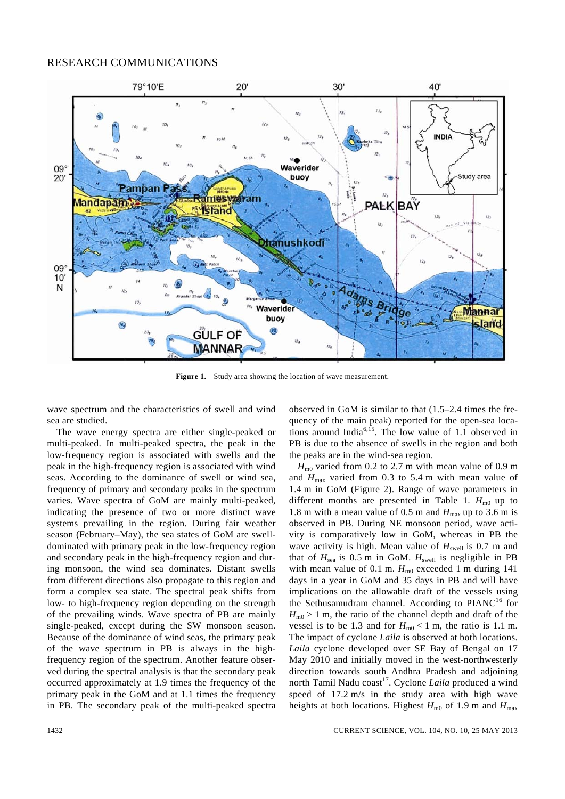## RESEARCH COMMUNICATIONS



**Figure 1.** Study area showing the location of wave measurement.

wave spectrum and the characteristics of swell and wind sea are studied.

 The wave energy spectra are either single-peaked or multi-peaked. In multi-peaked spectra, the peak in the low-frequency region is associated with swells and the peak in the high-frequency region is associated with wind seas. According to the dominance of swell or wind sea, frequency of primary and secondary peaks in the spectrum varies. Wave spectra of GoM are mainly multi-peaked, indicating the presence of two or more distinct wave systems prevailing in the region. During fair weather season (February–May), the sea states of GoM are swelldominated with primary peak in the low-frequency region and secondary peak in the high-frequency region and during monsoon, the wind sea dominates. Distant swells from different directions also propagate to this region and form a complex sea state. The spectral peak shifts from low- to high-frequency region depending on the strength of the prevailing winds. Wave spectra of PB are mainly single-peaked, except during the SW monsoon season. Because of the dominance of wind seas, the primary peak of the wave spectrum in PB is always in the highfrequency region of the spectrum. Another feature observed during the spectral analysis is that the secondary peak occurred approximately at 1.9 times the frequency of the primary peak in the GoM and at 1.1 times the frequency in PB. The secondary peak of the multi-peaked spectra observed in GoM is similar to that (1.5–2.4 times the frequency of the main peak) reported for the open-sea locations around India<sup>6,15</sup>. The low value of 1.1 observed in PB is due to the absence of swells in the region and both the peaks are in the wind-sea region.

 $H_{\text{m0}}$  varied from 0.2 to 2.7 m with mean value of 0.9 m and  $H_{\text{max}}$  varied from 0.3 to 5.4 m with mean value of 1.4 m in GoM (Figure 2). Range of wave parameters in different months are presented in Table 1.  $H_{\text{m0}}$  up to 1.8 m with a mean value of 0.5 m and  $H_{\text{max}}$  up to 3.6 m is observed in PB. During NE monsoon period, wave activity is comparatively low in GoM, whereas in PB the wave activity is high. Mean value of  $H<sub>swell</sub>$  is 0.7 m and that of  $H_{sea}$  is 0.5 m in GoM.  $H_{swell}$  is negligible in PB with mean value of 0.1 m.  $H_{m0}$  exceeded 1 m during 141 days in a year in GoM and 35 days in PB and will have implications on the allowable draft of the vessels using the Sethusamudram channel. According to  $PIANC<sup>16</sup>$  for  $H_{\text{m0}} > 1$  m, the ratio of the channel depth and draft of the vessel is to be 1.3 and for  $H_{m0}$  < 1 m, the ratio is 1.1 m. The impact of cyclone *Laila* is observed at both locations. *Laila* cyclone developed over SE Bay of Bengal on 17 May 2010 and initially moved in the west-northwesterly direction towards south Andhra Pradesh and adjoining north Tamil Nadu coast<sup>17</sup>. Cyclone *Laila* produced a wind speed of 17.2 m/s in the study area with high wave heights at both locations. Highest  $H_{\text{m0}}$  of 1.9 m and  $H_{\text{max}}$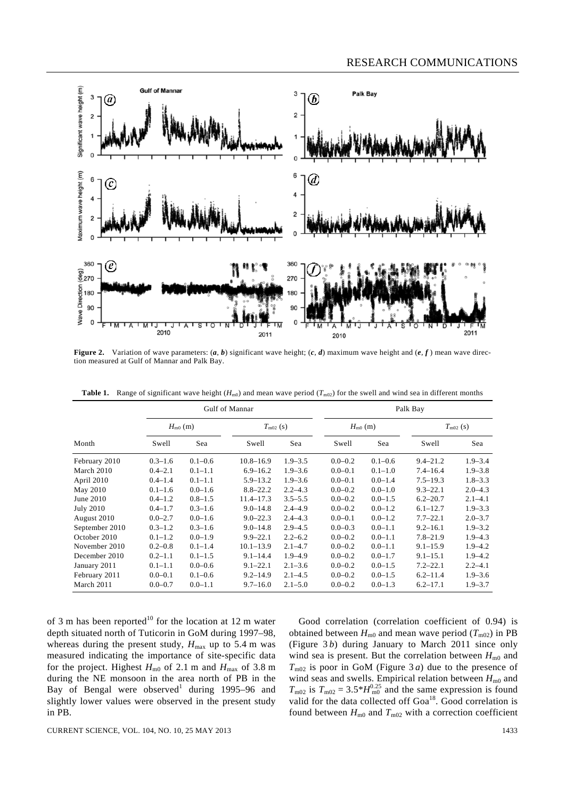

**Figure 2.** Variation of wave parameters:  $(a, b)$  significant wave height;  $(c, d)$  maximum wave height and  $(e, f)$  mean wave direction measured at Gulf of Mannar and Palk Bay.

|                  | Gulf of Mannar |             |                   |             | Palk Bay     |             |                   |             |
|------------------|----------------|-------------|-------------------|-------------|--------------|-------------|-------------------|-------------|
|                  | $H_{m0}$ (m)   |             | $T_{\rm m02}$ (s) |             | $H_{m0}$ (m) |             | $T_{\rm m02}$ (s) |             |
| Month            | Swell          | Sea         | Swell             | Sea         | Swell        | Sea         | Swell             | Sea         |
| February 2010    | $0.3 - 1.6$    | $0.1 - 0.6$ | $10.8 - 16.9$     | $1.9 - 3.5$ | $0.0 - 0.2$  | $0.1 - 0.6$ | $9.4 - 21.2$      | $1.9 - 3.4$ |
| March 2010       | $0.4 - 2.1$    | $0.1 - 1.1$ | $6.9 - 16.2$      | $1.9 - 3.6$ | $0.0 - 0.1$  | $0.1 - 1.0$ | $7.4 - 16.4$      | $1.9 - 3.8$ |
| April 2010       | $0.4 - 1.4$    | $0.1 - 1.1$ | $5.9 - 13.2$      | $1.9 - 3.6$ | $0.0 - 0.1$  | $0.0 - 1.4$ | $7.5 - 19.3$      | $1.8 - 3.3$ |
| May 2010         | $0.1 - 1.6$    | $0.0 - 1.6$ | $8.8 - 22.2$      | $2.2 - 4.3$ | $0.0 - 0.2$  | $0.0 - 1.0$ | $9.3 - 22.1$      | $2.0 - 4.3$ |
| June $2010$      | $0.4 - 1.2$    | $0.8 - 1.5$ | $11.4 - 17.3$     | $3.5 - 5.5$ | $0.0 - 0.2$  | $0.0 - 1.5$ | $6.2 - 20.7$      | $2.1 - 4.1$ |
| <b>July 2010</b> | $0.4 - 1.7$    | $0.3 - 1.6$ | $9.0 - 14.8$      | $2.4 - 4.9$ | $0.0 - 0.2$  | $0.0 - 1.2$ | $6.1 - 12.7$      | $1.9 - 3.3$ |
| August 2010      | $0.0 - 2.7$    | $0.0 - 1.6$ | $9.0 - 22.3$      | $2.4 - 4.3$ | $0.0 - 0.1$  | $0.0 - 1.2$ | $7.7 - 22.1$      | $2.0 - 3.7$ |
| September 2010   | $0.3 - 1.2$    | $0.3 - 1.6$ | $9.0 - 14.8$      | $2.9 - 4.5$ | $0.0 - 0.3$  | $0.0 - 1.1$ | $9.2 - 16.1$      | $1.9 - 3.2$ |
| October 2010     | $0.1 - 1.2$    | $0.0 - 1.9$ | $9.9 - 22.1$      | $2.2 - 6.2$ | $0.0 - 0.2$  | $0.0 - 1.1$ | $7.8 - 21.9$      | $1.9 - 4.3$ |
| November 2010    | $0.2 - 0.8$    | $0.1 - 1.4$ | $10.1 - 13.9$     | $2.1 - 4.7$ | $0.0 - 0.2$  | $0.0 - 1.1$ | $9.1 - 15.9$      | $1.9 - 4.2$ |
| December 2010    | $0.2 - 1.1$    | $0.1 - 1.5$ | $9.1 - 14.4$      | $1.9 - 4.9$ | $0.0 - 0.2$  | $0.0 - 1.7$ | $9.1 - 15.1$      | $1.9 - 4.2$ |
| January 2011     | $0.1 - 1.1$    | $0.0 - 0.6$ | $9.1 - 22.1$      | $2.1 - 3.6$ | $0.0 - 0.2$  | $0.0 - 1.5$ | $7.2 - 22.1$      | $2.2 - 4.1$ |
| February 2011    | $0.0 - 0.1$    | $0.1 - 0.6$ | $9.2 - 14.9$      | $2.1 - 4.5$ | $0.0 - 0.2$  | $0.0 - 1.5$ | $6.2 - 11.4$      | $1.9 - 3.6$ |
| March 2011       | $0.0 - 0.7$    | $0.0 - 1.1$ | $9.7 - 16.0$      | $2.1 - 5.0$ | $0.0 - 0.2$  | $0.0 - 1.3$ | $6.2 - 17.1$      | $1.9 - 3.7$ |

**Table 1.** Range of significant wave height ( $H_{m0}$ ) and mean wave period ( $T_{m02}$ ) for the swell and wind sea in different months

of 3 m has been reported<sup>10</sup> for the location at 12 m water depth situated north of Tuticorin in GoM during 1997–98, whereas during the present study,  $H_{\text{max}}$  up to 5.4 m was measured indicating the importance of site-specific data for the project. Highest  $H_{\text{m0}}$  of 2.1 m and  $H_{\text{max}}$  of 3.8 m during the NE monsoon in the area north of PB in the Bay of Bengal were observed during  $1995-96$  and slightly lower values were observed in the present study in PB.

 Good correlation (correlation coefficient of 0.94) is obtained between  $H_{m0}$  and mean wave period ( $T_{m02}$ ) in PB (Figure 3 *b*) during January to March 2011 since only wind sea is present. But the correlation between  $H_{\text{m0}}$  and  $T_{\text{m02}}$  is poor in GoM (Figure 3*a*) due to the presence of wind seas and swells. Empirical relation between  $H_{\text{m0}}$  and  $T_{\text{m02}}$  is  $T_{\text{m02}} = 3.5*H_{\text{m0}}^{0.25}$  and the same expression is found valid for the data collected off  $Goa^{18}$ . Good correlation is found between  $H_{m0}$  and  $T_{m02}$  with a correction coefficient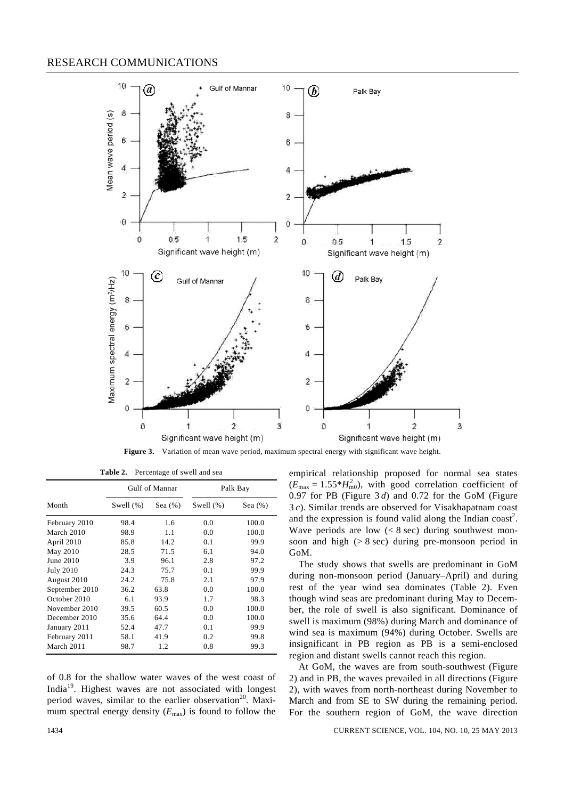## RESEARCH COMMUNICATIONS



**Figure 3.** Variation of mean wave period, maximum spectral energy with significant wave height.

|                  | Gulf of Mannar |           | Palk Bay     |            |  |
|------------------|----------------|-----------|--------------|------------|--|
| Month            | Swell $(\%)$   | Sea $(%)$ | Swell $(\%)$ | Sea $(\%)$ |  |
| February 2010    | 98.4           | 1.6       | 0.0          | 100.0      |  |
| March 2010       | 98.9           | 1.1       | 0.0          | 100.0      |  |
| April 2010       | 85.8           | 14.2      | 0.1          | 99.9       |  |
| May 2010         | 28.5           | 71.5      | 6.1          | 94.0       |  |
| June 2010        | 3.9            | 96.1      | 2.8          | 97.2       |  |
| <b>July 2010</b> | 24.3           | 75.7      | 0.1          | 99.9       |  |
| August 2010      | 24.2           | 75.8      | 2.1          | 97.9       |  |
| September 2010   | 36.2           | 63.8      | 0.0          | 100.0      |  |
| October 2010     | 6.1            | 93.9      | 1.7          | 98.3       |  |
| November 2010    | 39.5           | 60.5      | 0.0          | 100.0      |  |
| December 2010    | 35.6           | 64.4      | 0.0          | 100.0      |  |
| January 2011     | 52.4           | 47.7      | 0.1          | 99.9       |  |
| February 2011    | 58.1           | 41.9      | 0.2          | 99.8       |  |
| March 2011       | 98.7           | 1.2       | 0.8          | 99.3       |  |

**Table 2.** Percentage of swell and sea

of 0.8 for the shallow water waves of the west coast of India19. Highest waves are not associated with longest period waves, similar to the earlier observation<sup>20</sup>. Maximum spectral energy density (*E*max) is found to follow the empirical relationship proposed for normal sea states  $(E_{\text{max}} = 1.55 \cdot H_{\text{m0}}^2)$ , with good correlation coefficient of 0.97 for PB (Figure 3 *d*) and 0.72 for the GoM (Figure 3 *c*). Similar trends are observed for Visakhapatnam coast and the expression is found valid along the Indian coast<sup>2</sup>. Wave periods are low  $(< 8 \text{ sec})$  during southwest monsoon and high  $($  > 8 sec) during pre-monsoon period in GoM.

 The study shows that swells are predominant in GoM during non-monsoon period (January–April) and during rest of the year wind sea dominates (Table 2). Even though wind seas are predominant during May to December, the role of swell is also significant. Dominance of swell is maximum (98%) during March and dominance of wind sea is maximum (94%) during October. Swells are insignificant in PB region as PB is a semi-enclosed region and distant swells cannot reach this region.

 At GoM, the waves are from south-southwest (Figure 2) and in PB, the waves prevailed in all directions (Figure 2), with waves from north-northeast during November to March and from SE to SW during the remaining period. For the southern region of GoM, the wave direction